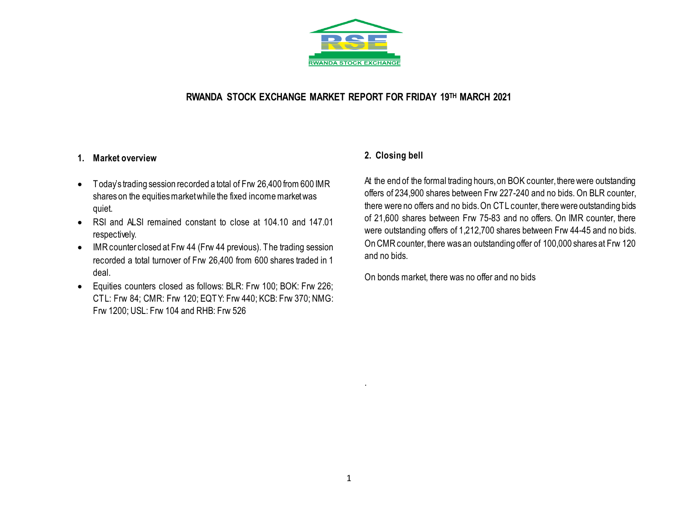

## **RWANDA STOCK EXCHANGE MARKET REPORT FOR FRIDAY 19 TH MARCH 2021**

### **1. Market overview**

- Today's trading session recorded a total of Frw 26,400 from 600 IMR shares on the equities market while the fixed income market was quiet.
- RSI and ALSI remained constant to close at 104.10 and 147.01 respectively.
- IMR counter closed at Frw 44 (Frw 44 previous). The trading session recorded a total turnover of Frw 26,400 from 600 shares traded in 1 deal.
- Equities counters closed as follows: BLR: Frw 100; BOK: Frw 226; CTL: Frw 84; CMR: Frw 120; EQTY: Frw 440; KCB: Frw 370; NMG: Frw 1200; USL: Frw 104 and RHB: Frw 526

# **2. Closing bell**

At the end of the formal trading hours, on BOK counter, there were outstanding offers of 234,900 shares between Frw 227-240 and no bids. On BLR counter, there were no offers and no bids. On CTL counter, there were outstanding bids of 21,600 shares between Frw 75-83 and no offers. On IMR counter, there were outstanding offers of 1,212,700 shares between Frw 44-45 and no bids. On CMR counter, there was an outstanding offer of 100,000 shares at Frw 120 and no bids.

On bonds market, there was no offer and no bids

.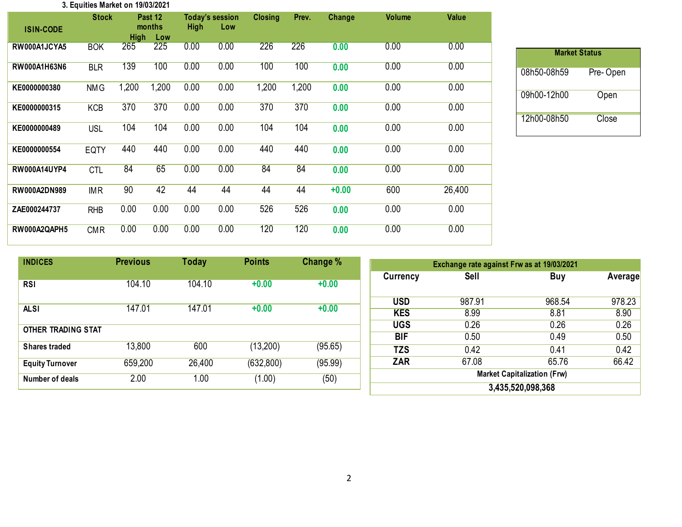#### **3. Equities Market on 19/03/2021**

| <b>ISIN-CODE</b>    | <b>Stock</b> | <b>High</b> | Past 12<br>months<br>Low | <b>High</b> | <b>Today's session</b><br>Low | <b>Closing</b> | Prev. | Change  | <b>Volume</b> | <b>Value</b> |
|---------------------|--------------|-------------|--------------------------|-------------|-------------------------------|----------------|-------|---------|---------------|--------------|
| RW000A1JCYA5        | <b>BOK</b>   | 265         | 225                      | 0.00        | 0.00                          | 226            | 226   | 0.00    | 0.00          | 0.00         |
| RW000A1H63N6        | <b>BLR</b>   | 139         | 100                      | 0.00        | 0.00                          | 100            | 100   | 0.00    | 0.00          | 0.00         |
| KE0000000380        | <b>NMG</b>   | 1,200       | 1,200                    | 0.00        | 0.00                          | 1,200          | 1,200 | 0.00    | 0.00          | 0.00         |
| KE0000000315        | <b>KCB</b>   | 370         | 370                      | 0.00        | 0.00                          | 370            | 370   | 0.00    | 0.00          | 0.00         |
| KE0000000489        | <b>USL</b>   | 104         | 104                      | 0.00        | 0.00                          | 104            | 104   | 0.00    | 0.00          | 0.00         |
| KE0000000554        | <b>EQTY</b>  | 440         | 440                      | 0.00        | 0.00                          | 440            | 440   | 0.00    | 0.00          | 0.00         |
| <b>RW000A14UYP4</b> | <b>CTL</b>   | 84          | 65                       | 0.00        | 0.00                          | 84             | 84    | 0.00    | 0.00          | 0.00         |
| RW000A2DN989        | <b>IMR</b>   | 90          | 42                       | 44          | 44                            | 44             | 44    | $+0.00$ | 600           | 26,400       |
| ZAE000244737        | <b>RHB</b>   | 0.00        | 0.00                     | 0.00        | 0.00                          | 526            | 526   | 0.00    | 0.00          | 0.00         |
| RW000A2QAPH5        | <b>CMR</b>   | 0.00        | 0.00                     | 0.00        | 0.00                          | 120            | 120   | 0.00    | 0.00          | 0.00         |

| <b>Market Status</b> |          |  |  |  |  |  |  |  |  |
|----------------------|----------|--|--|--|--|--|--|--|--|
| 08h50-08h59          | Pre-Open |  |  |  |  |  |  |  |  |
| 09h00-12h00          | Open     |  |  |  |  |  |  |  |  |
| 12h00-08h50          | Close    |  |  |  |  |  |  |  |  |

| <b>INDICES</b>         | <b>Previous</b> | <b>Today</b> | <b>Points</b> | Change % | Exchange rate against Frw as at 19/03/2021 |        |        |         |
|------------------------|-----------------|--------------|---------------|----------|--------------------------------------------|--------|--------|---------|
|                        |                 |              |               |          | Currency                                   | Sell   | Buy    | Average |
| <b>RSI</b>             | 104.10          | 104.10       | $+0.00$       | $+0.00$  |                                            |        |        |         |
|                        |                 |              |               |          | <b>USD</b>                                 | 987.91 | 968.54 | 978.23  |
| <b>ALSI</b>            | 147.01          | 147.01       | $+0.00$       | $+0.00$  | <b>KES</b>                                 | 8.99   | 8.81   | 8.90    |
| OTHER TRADING STAT     |                 |              |               |          | <b>UGS</b>                                 | 0.26   | 0.26   | 0.26    |
|                        |                 |              |               |          | <b>BIF</b>                                 | 0.50   | 0.49   | 0.50    |
| <b>Shares traded</b>   | 13,800          | 600          | (13,200)      | (95.65)  | <b>TZS</b>                                 | 0.42   | 0.41   | 0.42    |
| <b>Equity Turnover</b> | 659,200         | 26,400       | (632, 800)    | (95.99)  | ZAR                                        | 67.08  | 65.76  | 66.42   |
| Number of deals        | 2.00            | 1.00         | (1.00)        | (50)     | <b>Market Capitalization (Frw)</b>         |        |        |         |
|                        |                 |              |               |          | 3,435,520,098,368                          |        |        |         |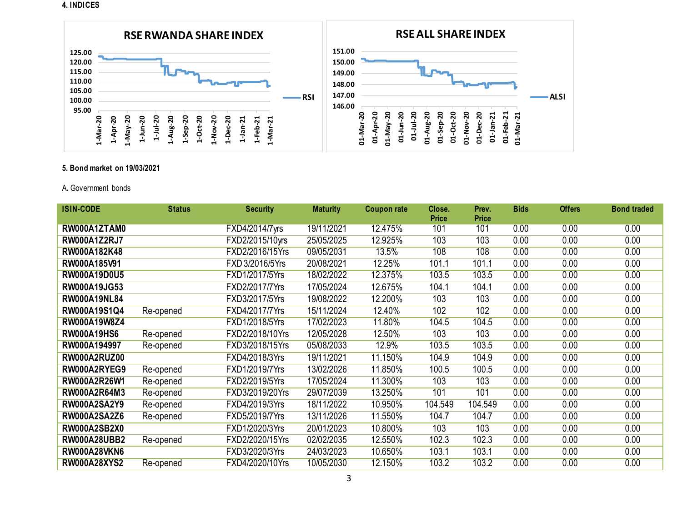#### **4. INDICES**



#### **5. Bond market on 19/03/2021**

#### A**.** Government bonds

| <b>ISIN-CODE</b>    | <b>Status</b> | <b>Security</b> | <b>Maturity</b> | <b>Coupon rate</b> | Close.<br><b>Price</b> | Prev.<br><b>Price</b> | <b>Bids</b> | <b>Offers</b> | <b>Bond traded</b> |
|---------------------|---------------|-----------------|-----------------|--------------------|------------------------|-----------------------|-------------|---------------|--------------------|
| RW000A1ZTAM0        |               | FXD4/2014/7yrs  | 19/11/2021      | 12.475%            | 101                    | 101                   | 0.00        | 0.00          | 0.00               |
| <b>RW000A1Z2RJ7</b> |               | FXD2/2015/10yrs | 25/05/2025      | 12.925%            | 103                    | 103                   | 0.00        | 0.00          | 0.00               |
| RW000A182K48        |               | FXD2/2016/15Yrs | 09/05/2031      | 13.5%              | 108                    | 108                   | 0.00        | 0.00          | 0.00               |
| RW000A185V91        |               | FXD 3/2016/5Yrs | 20/08/2021      | 12.25%             | 101.1                  | 101.1                 | 0.00        | 0.00          | 0.00               |
| RW000A19D0U5        |               | FXD1/2017/5Yrs  | 18/02/2022      | 12.375%            | 103.5                  | 103.5                 | 0.00        | 0.00          | 0.00               |
| <b>RW000A19JG53</b> |               | FXD2/2017/7Yrs  | 17/05/2024      | 12.675%            | 104.1                  | 104.1                 | 0.00        | 0.00          | 0.00               |
| <b>RW000A19NL84</b> |               | FXD3/2017/5Yrs  | 19/08/2022      | 12.200%            | 103                    | 103                   | 0.00        | 0.00          | 0.00               |
| RW000A19S1Q4        | Re-opened     | FXD4/2017/7Yrs  | 15/11/2024      | 12.40%             | 102                    | 102                   | 0.00        | 0.00          | 0.00               |
| RW000A19W8Z4        |               | FXD1/2018/5Yrs  | 17/02/2023      | 11.80%             | 104.5                  | 104.5                 | 0.00        | 0.00          | 0.00               |
| <b>RW000A19HS6</b>  | Re-opened     | FXD2/2018/10Yrs | 12/05/2028      | 12.50%             | 103                    | 103                   | 0.00        | 0.00          | 0.00               |
| RW000A194997        | Re-opened     | FXD3/2018/15Yrs | 05/08/2033      | 12.9%              | 103.5                  | 103.5                 | 0.00        | 0.00          | 0.00               |
| RW000A2RUZ00        |               | FXD4/2018/3Yrs  | 19/11/2021      | 11.150%            | 104.9                  | 104.9                 | 0.00        | 0.00          | 0.00               |
| RW000A2RYEG9        | Re-opened     | FXD1/2019/7Yrs  | 13/02/2026      | 11.850%            | 100.5                  | 100.5                 | 0.00        | 0.00          | 0.00               |
| <b>RW000A2R26W1</b> | Re-opened     | FXD2/2019/5Yrs  | 17/05/2024      | 11.300%            | 103                    | 103                   | 0.00        | 0.00          | 0.00               |
| RW000A2R64M3        | Re-opened     | FXD3/2019/20Yrs | 29/07/2039      | 13.250%            | 101                    | 101                   | 0.00        | 0.00          | 0.00               |
| <b>RW000A2SA2Y9</b> | Re-opened     | FXD4/2019/3Yrs  | 18/11/2022      | 10.950%            | 104.549                | 104.549               | 0.00        | 0.00          | 0.00               |
| <b>RW000A2SA2Z6</b> | Re-opened     | FXD5/2019/7Yrs  | 13/11/2026      | 11.550%            | 104.7                  | 104.7                 | 0.00        | 0.00          | 0.00               |
| <b>RW000A2SB2X0</b> |               | FXD1/2020/3Yrs  | 20/01/2023      | 10.800%            | 103                    | 103                   | 0.00        | 0.00          | 0.00               |
| <b>RW000A28UBB2</b> | Re-opened     | FXD2/2020/15Yrs | 02/02/2035      | 12.550%            | 102.3                  | 102.3                 | 0.00        | 0.00          | 0.00               |
| <b>RW000A28VKN6</b> |               | FXD3/2020/3Yrs  | 24/03/2023      | 10.650%            | 103.1                  | 103.1                 | 0.00        | 0.00          | 0.00               |
| <b>RW000A28XYS2</b> | Re-opened     | FXD4/2020/10Yrs | 10/05/2030      | 12.150%            | 103.2                  | 103.2                 | 0.00        | 0.00          | 0.00               |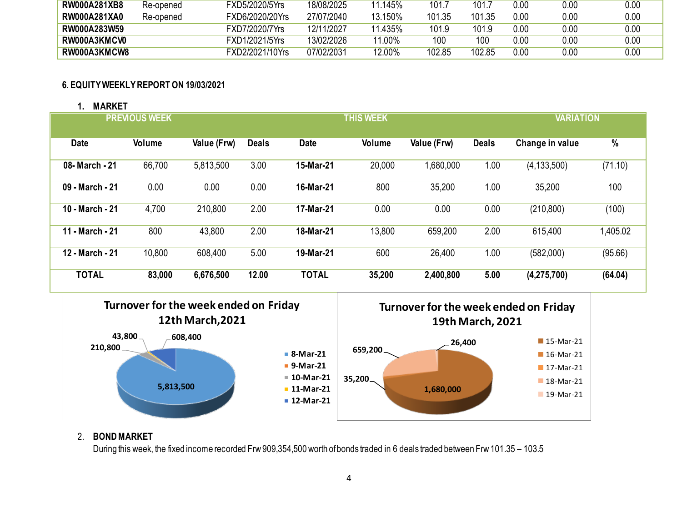| <b>RW000A281XB8</b> | Re-opened | FXD5/2020/5Yrs         | 18/08/2025 | $^{\circ}$ 145% | 101.7  | 101.   | $0.00\,$ | 0.00     | 0.00 |
|---------------------|-----------|------------------------|------------|-----------------|--------|--------|----------|----------|------|
| RW000A281XA0        | Re-opened | <b>EXD6/2020/20Yrs</b> | 27/07/2040 | 13.150%         | 101.35 | 101.35 | 0.00     | 0.00     | 0.00 |
| RW000A283W59        |           | FXD7/2020/7Yrs         | 12/11/2027 | 11.435%         | 101.9  | 101.9  | $0.00\,$ | $0.00\,$ | 0.00 |
| RW000A3KMCV0        |           | FXD1/2021/5Yrs         | 13/02/2026 | 11.00%          | 100    | 100    | $0.00\,$ | $0.00\,$ | 0.00 |
| RW000A3KMCW8        |           | FXD2/2021/10Yrs        | 07/02/2031 | $12.00\%$       | 102.85 | 102.85 | 0.00     | 0.00     | 0.00 |

### **6. EQUITY WEEKLY REPORT ON 19/03/2021**

### **1. MARKET**

| <b>PREVIOUS WEEK</b> |               |             |              |              | <b>THIS WEEK</b> | <b>VARIATION</b> |              |                 |          |
|----------------------|---------------|-------------|--------------|--------------|------------------|------------------|--------------|-----------------|----------|
| <b>Date</b>          | <b>Volume</b> | Value (Frw) | <b>Deals</b> | <b>Date</b>  | Volume           | Value (Frw)      | <b>Deals</b> | Change in value | %        |
| 08- March - 21       | 66,700        | 5,813,500   | 3.00         | 15-Mar-21    | 20,000           | 000,080,1        | 1.00         | (4, 133, 500)   | (71.10)  |
| 09 - March - 21      | 0.00          | 0.00        | 0.00         | 16-Mar-21    | 800              | 35,200           | 1.00         | 35,200          | 100      |
| 10 - March - 21      | 4,700         | 210,800     | 2.00         | 17-Mar-21    | 0.00             | 0.00             | 0.00         | (210, 800)      | (100)    |
| 11 - March - 21      | 800           | 43,800      | 2.00         | 18-Mar-21    | 13,800           | 659,200          | 2.00         | 615,400         | 1,405.02 |
| 12 - March - 21      | 10,800        | 608,400     | 5.00         | 19-Mar-21    | 600              | 26,400           | 1.00         | (582,000)       | (95.66)  |
| <b>TOTAL</b>         | 83,000        | 6,676,500   | 12.00        | <b>TOTAL</b> | 35,200           | 2,400,800        | 5.00         | (4,275,700)     | (64.04)  |



## 2. **BOND MARKET**

During this week, the fixed income recorded Frw 909,354,500 worth of bonds traded in 6 deals traded between Frw 101.35 – 103.5